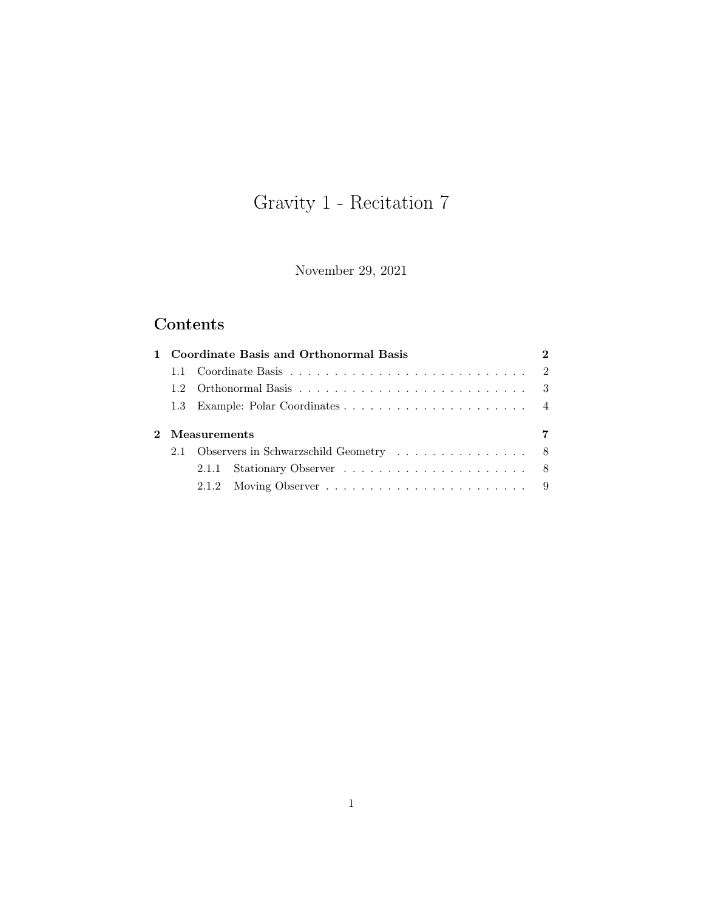# Gravity 1 - Recitation 7

November 29, 2021

## Contents

|  | 1 Coordinate Basis and Orthonormal Basis  |  |
|--|-------------------------------------------|--|
|  |                                           |  |
|  |                                           |  |
|  |                                           |  |
|  |                                           |  |
|  | 2 Measurements                            |  |
|  | 2.1 Observers in Schwarzschild Geometry 8 |  |
|  |                                           |  |
|  |                                           |  |
|  |                                           |  |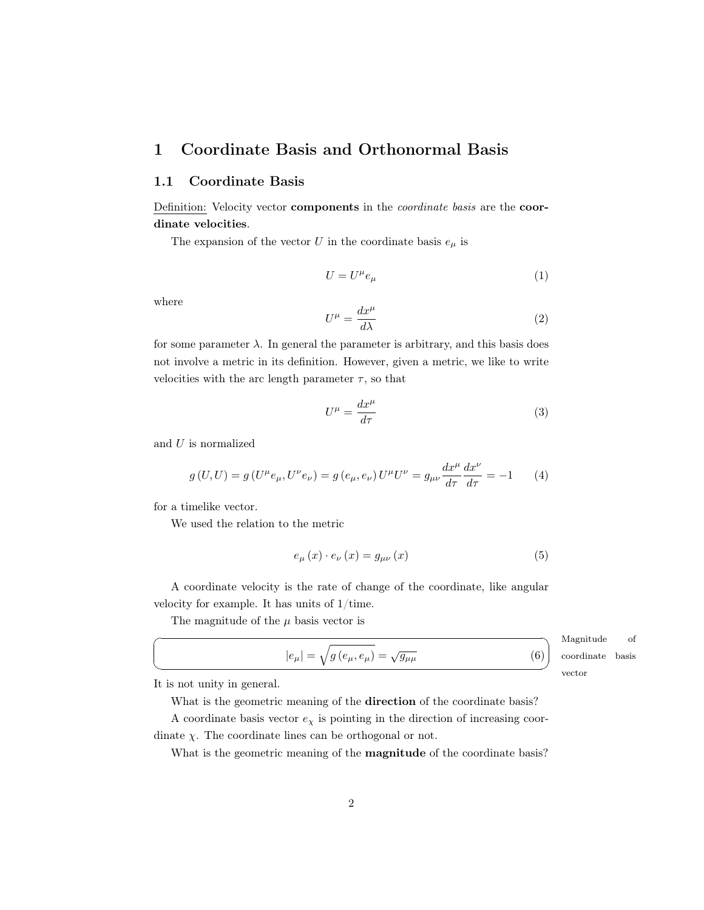## <span id="page-1-0"></span>1 Coordinate Basis and Orthonormal Basis

#### <span id="page-1-1"></span>1.1 Coordinate Basis

Definition: Velocity vector components in the coordinate basis are the coordinate velocities.

The expansion of the vector U in the coordinate basis  $e_{\mu}$  is

$$
U = U^{\mu} e_{\mu} \tag{1}
$$

where

$$
U^{\mu} = \frac{dx^{\mu}}{d\lambda} \tag{2}
$$

for some parameter  $\lambda$ . In general the parameter is arbitrary, and this basis does not involve a metric in its definition. However, given a metric, we like to write velocities with the arc length parameter  $\tau$ , so that

$$
U^{\mu} = \frac{dx^{\mu}}{d\tau} \tag{3}
$$

and U is normalized

$$
g(U, U) = g(U^{\mu}e_{\mu}, U^{\nu}e_{\nu}) = g(e_{\mu}, e_{\nu})U^{\mu}U^{\nu} = g_{\mu\nu}\frac{dx^{\mu}}{d\tau}\frac{dx^{\nu}}{d\tau} = -1
$$
 (4)

for a timelike vector.

We used the relation to the metric

$$
e_{\mu}\left(x\right)\cdot e_{\nu}\left(x\right) = g_{\mu\nu}\left(x\right) \tag{5}
$$

A coordinate velocity is the rate of change of the coordinate, like angular velocity for example. It has units of 1/time.

The magnitude of the  $\mu$  basis vector is

<span id="page-1-2"></span>
$$
|e_{\mu}| = \sqrt{g\left(e_{\mu}, e_{\mu}\right)} = \sqrt{g_{\mu\mu}}\tag{6}
$$

Magnitude of coordinate basis vector

 $^{\prime}$ 

It is not unity in general.

☛

 $\searrow$ 

What is the geometric meaning of the direction of the coordinate basis?

A coordinate basis vector  $e_\chi$  is pointing in the direction of increasing coordinate  $\chi$ . The coordinate lines can be orthogonal or not.

What is the geometric meaning of the magnitude of the coordinate basis?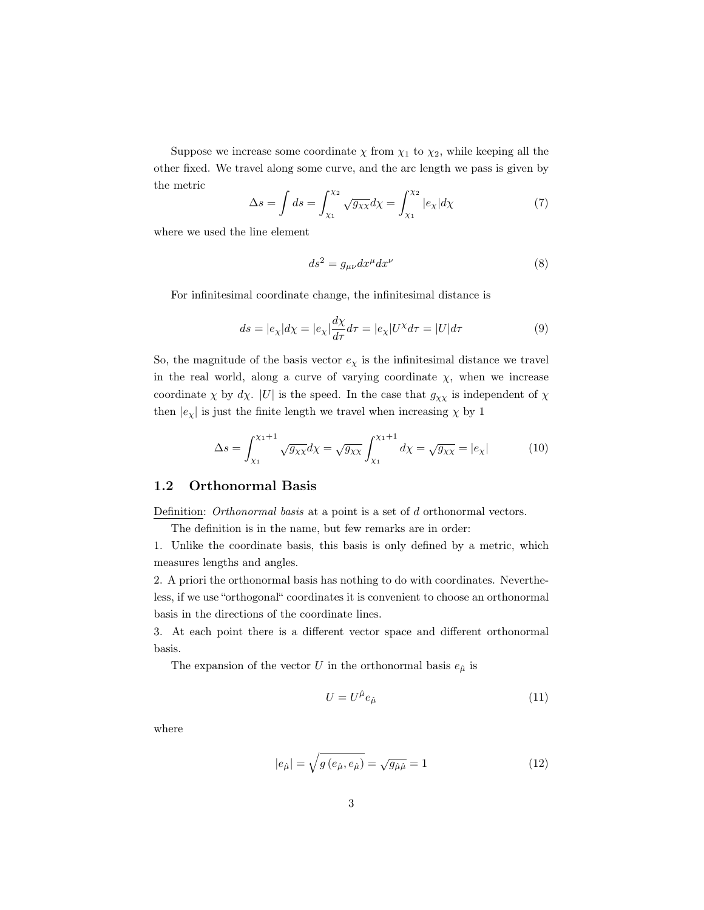Suppose we increase some coordinate  $\chi$  from  $\chi_1$  to  $\chi_2$ , while keeping all the other fixed. We travel along some curve, and the arc length we pass is given by the metric

$$
\Delta s = \int ds = \int_{\chi_1}^{\chi_2} \sqrt{g_{\chi\chi}} d\chi = \int_{\chi_1}^{\chi_2} |e_{\chi}| d\chi \tag{7}
$$

where we used the line element

$$
ds^2 = g_{\mu\nu} dx^{\mu} dx^{\nu} \tag{8}
$$

For infinitesimal coordinate change, the infinitesimal distance is

$$
ds = |e_{\chi}|d\chi = |e_{\chi}|\frac{d\chi}{d\tau}d\tau = |e_{\chi}|U^{\chi}d\tau = |U|d\tau
$$
\n(9)

So, the magnitude of the basis vector  $e<sub>x</sub>$  is the infinitesimal distance we travel in the real world, along a curve of varying coordinate  $\chi$ , when we increase coordinate  $\chi$  by d $\chi$ . |U| is the speed. In the case that  $g_{\chi\chi}$  is independent of  $\chi$ then  $|e_\chi|$  is just the finite length we travel when increasing  $\chi$  by 1

$$
\Delta s = \int_{\chi_1}^{\chi_1 + 1} \sqrt{g_{\chi \chi}} d\chi = \sqrt{g_{\chi \chi}} \int_{\chi_1}^{\chi_1 + 1} d\chi = \sqrt{g_{\chi \chi}} = |e_{\chi}| \tag{10}
$$

#### <span id="page-2-0"></span>1.2 Orthonormal Basis

Definition: *Orthonormal basis* at a point is a set of d orthonormal vectors.

The definition is in the name, but few remarks are in order:

1. Unlike the coordinate basis, this basis is only defined by a metric, which measures lengths and angles.

2. A priori the orthonormal basis has nothing to do with coordinates. Nevertheless, if we use "orthogonal" coordinates it is convenient to choose an orthonormal basis in the directions of the coordinate lines.

3. At each point there is a different vector space and different orthonormal basis.

The expansion of the vector U in the orthonormal basis  $e_{\hat{\mu}}$  is

$$
U = U^{\hat{\mu}} e_{\hat{\mu}} \tag{11}
$$

where

$$
|e_{\hat{\mu}}| = \sqrt{g\left(e_{\hat{\mu}}, e_{\hat{\mu}}\right)} = \sqrt{g_{\hat{\mu}\hat{\mu}}} = 1\tag{12}
$$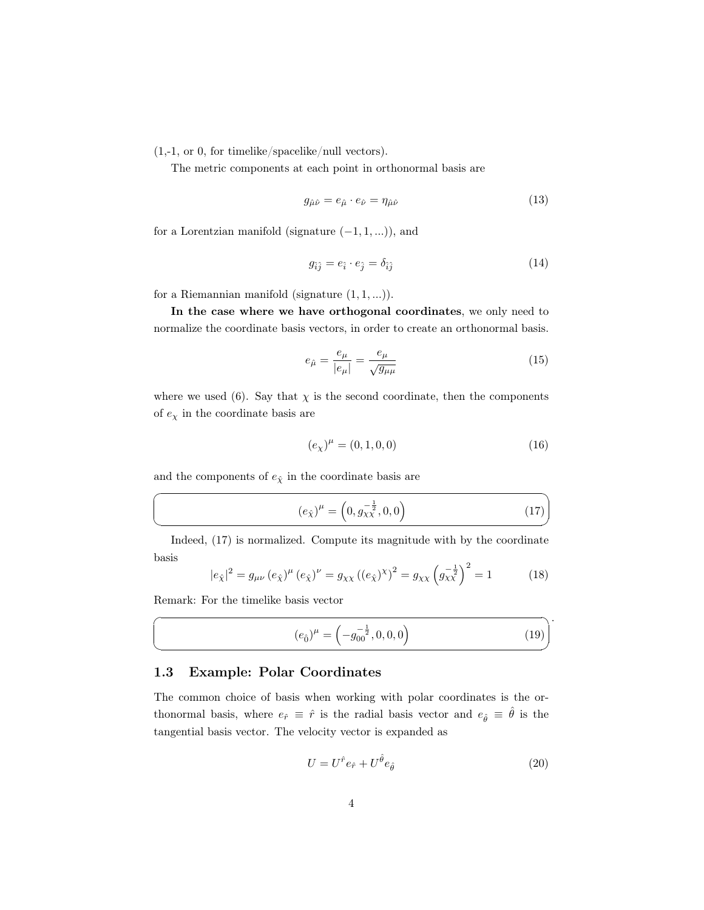(1,-1, or 0, for timelike/spacelike/null vectors).

The metric components at each point in orthonormal basis are

$$
g_{\hat{\mu}\hat{\nu}} = e_{\hat{\mu}} \cdot e_{\hat{\nu}} = \eta_{\hat{\mu}\hat{\nu}} \tag{13}
$$

for a Lorentzian manifold (signature  $(-1, 1, ...)$ ), and

$$
g_{\hat{i}\hat{j}} = e_{\hat{i}} \cdot e_{\hat{j}} = \delta_{\hat{i}\hat{j}} \tag{14}
$$

for a Riemannian manifold (signature  $(1, 1, ...)$ ).

In the case where we have orthogonal coordinates, we only need to normalize the coordinate basis vectors, in order to create an orthonormal basis.

$$
e_{\hat{\mu}} = \frac{e_{\mu}}{|e_{\mu}|} = \frac{e_{\mu}}{\sqrt{g_{\mu\mu}}}
$$
\n(15)

where we used [\(6\)](#page-1-2). Say that  $\chi$  is the second coordinate, then the components of  $e_\chi$  in the coordinate basis are

$$
(e_{\chi})^{\mu} = (0, 1, 0, 0) \tag{16}
$$

✟

✠

.

and the components of  $e_{\hat{\chi}}$  in the coordinate basis are

<span id="page-3-1"></span>
$$
(e_{\hat{\chi}})^{\mu} = \left(0, g_{\chi\chi}^{-\frac{1}{2}}, 0, 0\right) \tag{17}
$$

Indeed, [\(17\)](#page-3-1) is normalized. Compute its magnitude with by the coordinate basis

$$
|e_{\hat{\chi}}|^2 = g_{\mu\nu} (e_{\hat{\chi}})^{\mu} (e_{\hat{\chi}})^{\nu} = g_{\chi\chi} ((e_{\hat{\chi}})^{\chi})^2 = g_{\chi\chi} (g_{\chi\chi}^{-\frac{1}{2}})^2 = 1
$$
 (18)

Remark: For the timelike basis vector

☛

 $\searrow$ 

☛

 $\searrow$ 

<span id="page-3-3"></span>
$$
(e_{\hat{0}})^{\mu} = \left(-g_{00}^{-\frac{1}{2}}, 0, 0, 0\right)
$$
 (19)

#### <span id="page-3-0"></span>1.3 Example: Polar Coordinates

The common choice of basis when working with polar coordinates is the orthonormal basis, where  $e_{\hat{r}} \equiv \hat{r}$  is the radial basis vector and  $e_{\hat{\theta}} \equiv \hat{\theta}$  is the tangential basis vector. The velocity vector is expanded as

<span id="page-3-2"></span>
$$
U = U^{\hat{r}} e_{\hat{r}} + U^{\hat{\theta}} e_{\hat{\theta}} \tag{20}
$$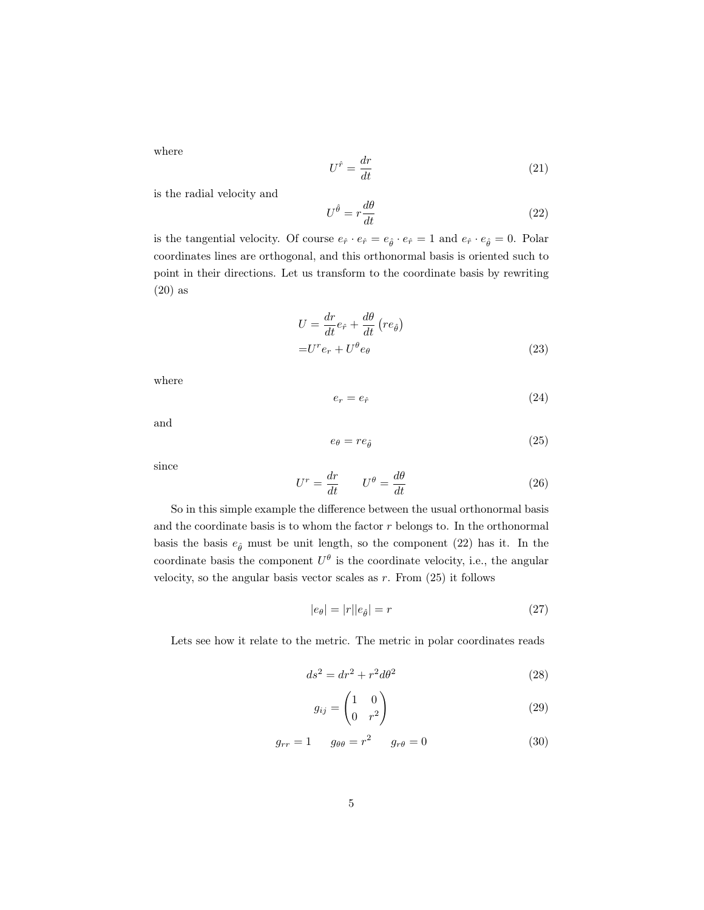where

$$
U^{\hat{r}} = \frac{dr}{dt} \tag{21}
$$

is the radial velocity and

<span id="page-4-0"></span>
$$
U^{\hat{\theta}} = r \frac{d\theta}{dt} \tag{22}
$$

is the tangential velocity. Of course  $e_{\hat{r}} \cdot e_{\hat{r}} = e_{\hat{\theta}} \cdot e_{\hat{r}} = 1$  and  $e_{\hat{r}} \cdot e_{\hat{\theta}} = 0$ . Polar coordinates lines are orthogonal, and this orthonormal basis is oriented such to point in their directions. Let us transform to the coordinate basis by rewriting [\(20\)](#page-3-2) as

$$
U = \frac{dr}{dt} e_{\hat{r}} + \frac{d\theta}{dt} (re_{\hat{\theta}})
$$

$$
= U^r e_r + U^\theta e_\theta
$$
(23)

where

$$
e_r = e_{\hat{r}} \tag{24}
$$

and

<span id="page-4-1"></span>
$$
e_{\theta} = re_{\hat{\theta}} \tag{25}
$$

since

$$
U^r = \frac{dr}{dt} \qquad U^\theta = \frac{d\theta}{dt} \tag{26}
$$

So in this simple example the difference between the usual orthonormal basis and the coordinate basis is to whom the factor  $r$  belongs to. In the orthonormal basis the basis  $e_{\hat{\theta}}$  must be unit length, so the component [\(22\)](#page-4-0) has it. In the coordinate basis the component  $U^{\theta}$  is the coordinate velocity, i.e., the angular velocity, so the angular basis vector scales as  $r$ . From  $(25)$  it follows

$$
|e_{\theta}| = |r||e_{\hat{\theta}}| = r \tag{27}
$$

Lets see how it relate to the metric. The metric in polar coordinates reads

$$
ds^2 = dr^2 + r^2 d\theta^2 \tag{28}
$$

<span id="page-4-2"></span>
$$
g_{ij} = \begin{pmatrix} 1 & 0 \\ 0 & r^2 \end{pmatrix} \tag{29}
$$

$$
g_{rr} = 1 \t g_{\theta\theta} = r^2 \t g_{r\theta} = 0 \t (30)
$$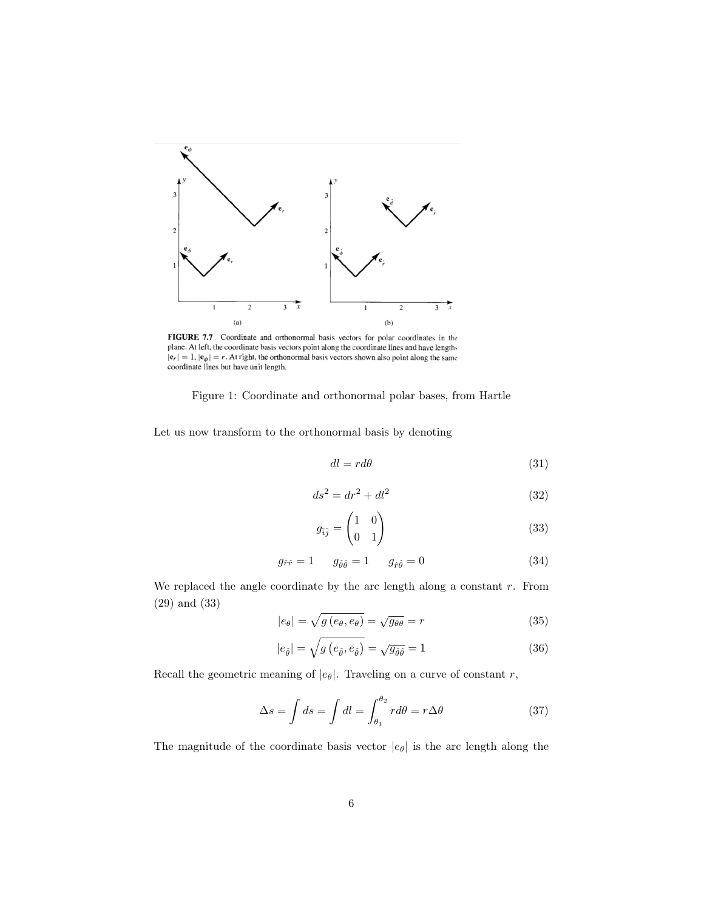

FIGURE 7.7 Coordinate and orthonormal basis vectors for polar coordinates in the plane. At left, the coordinate basis vectors point along the coordinate lines and have lengths  $|e_r| = 1$ ,  $|e_{\phi}| = r$ . At right, the orthonormal basis vectors shown also point along the same coordinate lines but have unit length.

Figure 1: Coordinate and orthonormal polar bases, from Hartle

Let us now transform to the orthonormal basis by denoting

$$
dl = r d\theta \tag{31}
$$

$$
ds^2 = dr^2 + dl^2 \tag{32}
$$

<span id="page-5-0"></span>
$$
g_{\hat{i}\hat{j}} = \begin{pmatrix} 1 & 0 \\ 0 & 1 \end{pmatrix} \tag{33}
$$

$$
g_{\hat{r}\hat{r}} = 1 \qquad g_{\hat{\theta}\hat{\theta}} = 1 \qquad g_{\hat{r}\hat{\theta}} = 0 \tag{34}
$$

We replaced the angle coordinate by the arc length along a constant  $r$ . From [\(29\)](#page-4-2) and [\(33\)](#page-5-0)

$$
|e_{\theta}| = \sqrt{g(e_{\theta}, e_{\theta})} = \sqrt{g_{\theta\theta}} = r
$$
\n(35)

$$
|e_{\hat{\theta}}| = \sqrt{g\left(e_{\hat{\theta}}, e_{\hat{\theta}}\right)} = \sqrt{g_{\hat{\theta}\hat{\theta}}} = 1\tag{36}
$$

Recall the geometric meaning of  $|e_\theta|.$  Traveling on a curve of constant  $r,$ 

$$
\Delta s = \int ds = \int dl = \int_{\theta_1}^{\theta_2} r d\theta = r \Delta \theta \tag{37}
$$

The magnitude of the coordinate basis vector  $|e_{\theta}|$  is the arc length along the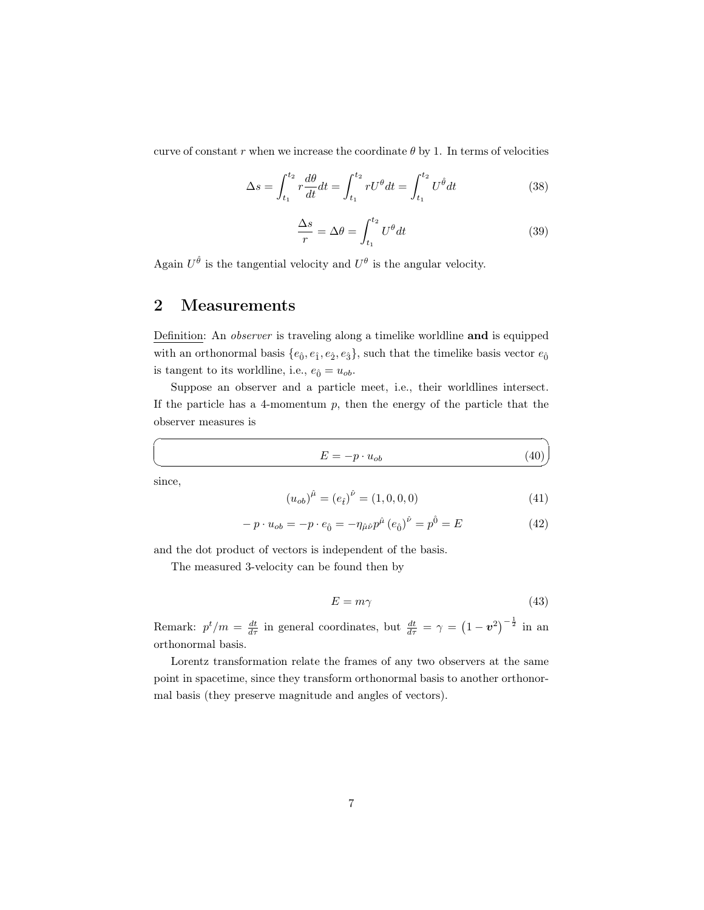curve of constant r when we increase the coordinate  $\theta$  by 1. In terms of velocities

$$
\Delta s = \int_{t_1}^{t_2} r \frac{d\theta}{dt} dt = \int_{t_1}^{t_2} rU^{\theta} dt = \int_{t_1}^{t_2} U^{\hat{\theta}} dt
$$
 (38)

$$
\frac{\Delta s}{r} = \Delta \theta = \int_{t_1}^{t_2} U^{\theta} dt
$$
\n(39)

Again  $U^{\hat{\theta}}$  is the tangential velocity and  $U^{\theta}$  is the angular velocity.

### <span id="page-6-0"></span>2 Measurements

Definition: An observer is traveling along a timelike worldline and is equipped with an orthonormal basis  $\{e_{\hat{0}}, e_{\hat{1}}, e_{\hat{2}}, e_{\hat{3}}\}$ , such that the timelike basis vector  $e_{\hat{0}}$ is tangent to its worldline, i.e.,  $e_{\hat{0}} = u_{ob}$ .

Suppose an observer and a particle meet, i.e., their worldlines intersect. If the particle has a 4-momentum  $p$ , then the energy of the particle that the observer measures is

$$
E = -p \cdot u_{ob} \tag{40}
$$

 $\searrow$ since,

☛

$$
(u_{ob})^{\hat{\mu}} = (e_{\hat{t}})^{\hat{\nu}} = (1, 0, 0, 0)
$$
\n(41)

$$
-p \cdot u_{ob} = -p \cdot e_{\hat{0}} = -\eta_{\hat{\mu}\hat{\nu}} p^{\hat{\mu}} (e_{\hat{0}})^{\hat{\nu}} = p^{\hat{0}} = E \tag{42}
$$

and the dot product of vectors is independent of the basis.

The measured 3-velocity can be found then by

$$
E = m\gamma \tag{43}
$$

Remark:  $p^t/m = \frac{dt}{d\tau}$  in general coordinates, but  $\frac{dt}{d\tau} = \gamma = (1 - v^2)^{-\frac{1}{2}}$  in an orthonormal basis.

Lorentz transformation relate the frames of any two observers at the same point in spacetime, since they transform orthonormal basis to another orthonormal basis (they preserve magnitude and angles of vectors).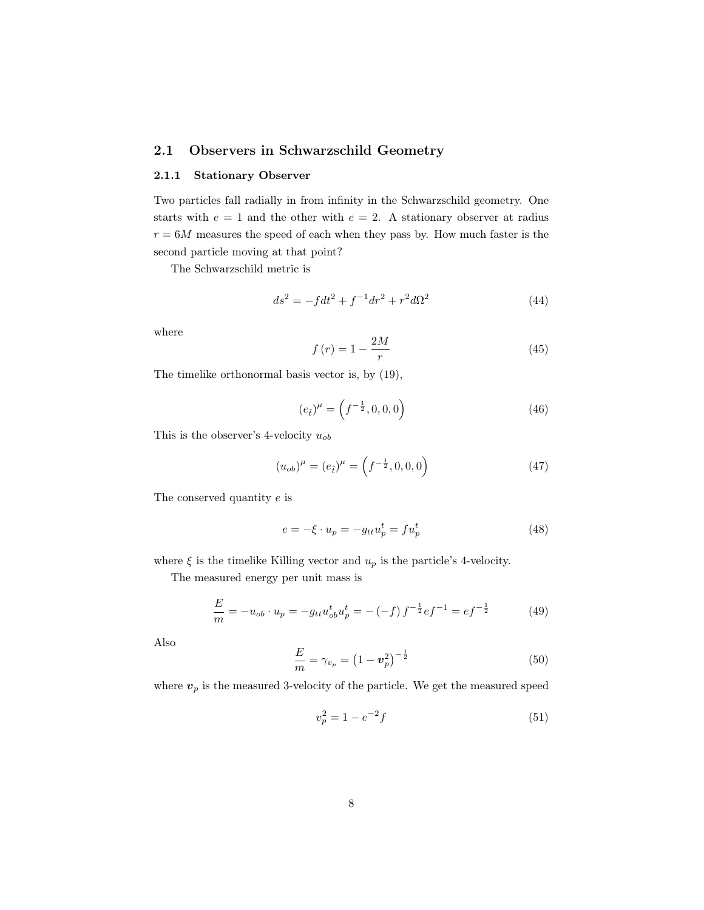#### <span id="page-7-0"></span>2.1 Observers in Schwarzschild Geometry

#### <span id="page-7-1"></span>2.1.1 Stationary Observer

Two particles fall radially in from infinity in the Schwarzschild geometry. One starts with  $e = 1$  and the other with  $e = 2$ . A stationary observer at radius  $r = 6M$  measures the speed of each when they pass by. How much faster is the second particle moving at that point?

The Schwarzschild metric is

$$
ds^{2} = -fdt^{2} + f^{-1}dr^{2} + r^{2}d\Omega^{2}
$$
\n(44)

where

$$
f\left(r\right) = 1 - \frac{2M}{r} \tag{45}
$$

The timelike orthonormal basis vector is, by [\(19\)](#page-3-3),

<span id="page-7-3"></span>
$$
(e_i)^{\mu} = \left(f^{-\frac{1}{2}}, 0, 0, 0\right) \tag{46}
$$

This is the observer's 4-velocity  $u_{ob}$ 

<span id="page-7-2"></span>
$$
(u_{ob})^{\mu} = (e_{\hat{t}})^{\mu} = \left(f^{-\frac{1}{2}}, 0, 0, 0\right)
$$
\n(47)

The conserved quantity e is

<span id="page-7-4"></span>
$$
e = -\xi \cdot u_p = -g_{tt}u_p^t = fu_p^t \tag{48}
$$

where  $\xi$  is the timelike Killing vector and<br>  $u_p$  is the particle's 4-velocity.

The measured energy per unit mass is

<span id="page-7-5"></span>
$$
\frac{E}{m} = -u_{ob} \cdot u_p = -g_{tt} u_{ob}^t u_p^t = -(-f) f^{-\frac{1}{2}} e f^{-1} = e f^{-\frac{1}{2}}
$$
(49)

Also

<span id="page-7-6"></span>
$$
\frac{E}{m} = \gamma_{v_p} = \left(1 - \boldsymbol{v}_p^2\right)^{-\frac{1}{2}}\tag{50}
$$

where  $\boldsymbol{v}_p$  is the measured 3-velocity of the particle. We get the measured speed

$$
v_p^2 = 1 - e^{-2}f\tag{51}
$$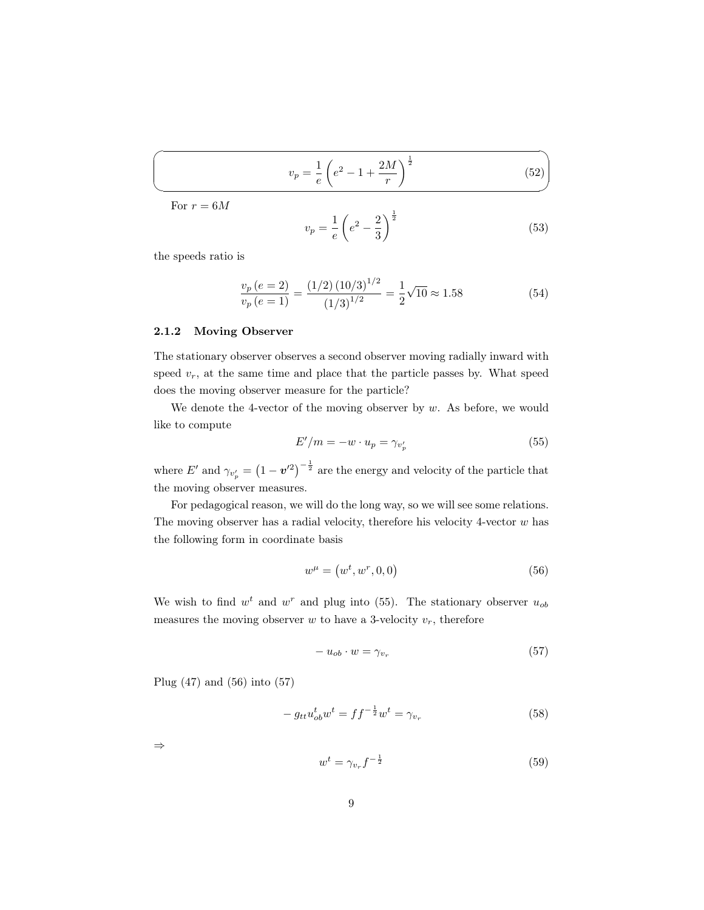<span id="page-8-5"></span>
$$
v_p = \frac{1}{e} \left( e^2 - 1 + \frac{2M}{r} \right)^{\frac{1}{2}}
$$
 (52)

For  $r = 6M$ 

 $\sqrt{2}$ 

✍

$$
v_p = \frac{1}{e} \left( e^2 - \frac{2}{3} \right)^{\frac{1}{2}}
$$
 (53)

the speeds ratio is

$$
\frac{v_p (e=2)}{v_p (e=1)} = \frac{(1/2) (10/3)^{1/2}}{(1/3)^{1/2}} = \frac{1}{2} \sqrt{10} \approx 1.58
$$
 (54)

#### <span id="page-8-0"></span>2.1.2 Moving Observer

The stationary observer observes a second observer moving radially inward with speed  $v_r$ , at the same time and place that the particle passes by. What speed does the moving observer measure for the particle?

We denote the 4-vector of the moving observer by  $w$ . As before, we would like to compute

<span id="page-8-1"></span>
$$
E'/m = -w \cdot u_p = \gamma_{v'_p} \tag{55}
$$

where E' and  $\gamma_{v'_p} = (1 - v'^2)^{-\frac{1}{2}}$  are the energy and velocity of the particle that the moving observer measures.

For pedagogical reason, we will do the long way, so we will see some relations. The moving observer has a radial velocity, therefore his velocity 4-vector  $w$  has the following form in coordinate basis

<span id="page-8-2"></span>
$$
w^{\mu} = (w^t, w^r, 0, 0) \tag{56}
$$

We wish to find  $w<sup>t</sup>$  and  $w<sup>r</sup>$  and plug into [\(55\)](#page-8-1). The stationary observer  $u<sub>ob</sub>$ measures the moving observer  $w$  to have a 3-velocity  $v_r$ , therefore

<span id="page-8-3"></span>
$$
-u_{ob} \cdot w = \gamma_{v_r} \tag{57}
$$

Plug [\(47\)](#page-7-2) and [\(56\)](#page-8-2) into [\(57\)](#page-8-3)

$$
-g_{tt}u_{ob}^t w^t = ff^{-\frac{1}{2}}w^t = \gamma_{v_r} \tag{58}
$$

⇒

<span id="page-8-4"></span>
$$
w^t = \gamma_{v_r} f^{-\frac{1}{2}} \tag{59}
$$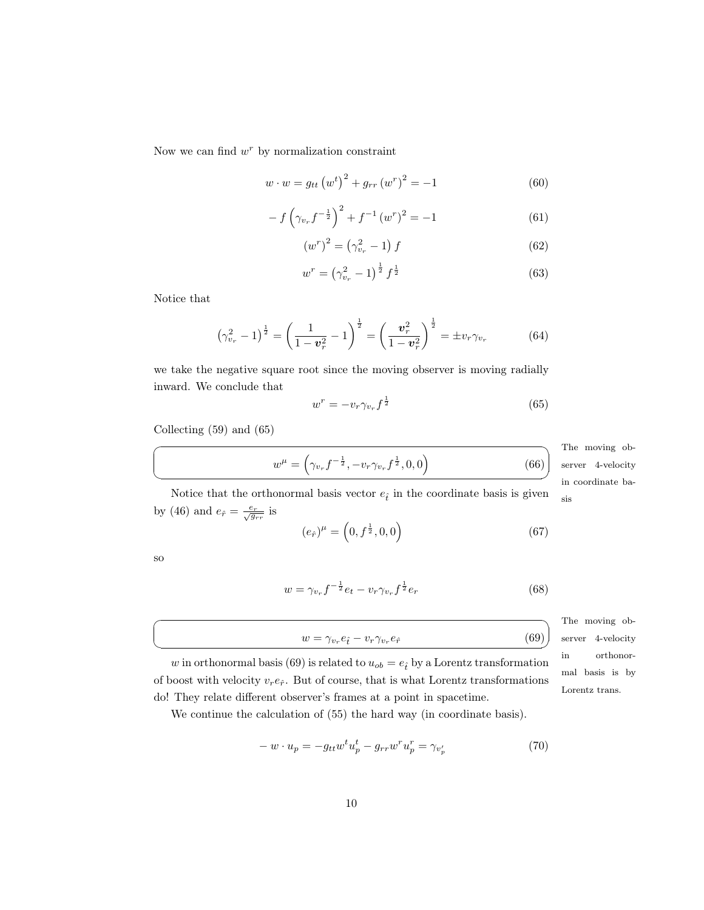Now we can find  $w<sup>r</sup>$  by normalization constraint

$$
w \cdot w = g_{tt} (w^t)^2 + g_{rr} (w^r)^2 = -1 \tag{60}
$$

$$
-f\left(\gamma_{v_r}f^{-\frac{1}{2}}\right)^2 + f^{-1}\left(w^r\right)^2 = -1\tag{61}
$$

$$
\left(w^r\right)^2 = \left(\gamma_{v_r}^2 - 1\right)f\tag{62}
$$

$$
w^r = \left(\gamma_{v_r}^2 - 1\right)^{\frac{1}{2}} f^{\frac{1}{2}} \tag{63}
$$

Notice that

$$
\left(\gamma_{v_r}^2 - 1\right)^{\frac{1}{2}} = \left(\frac{1}{1 - v_r^2} - 1\right)^{\frac{1}{2}} = \left(\frac{v_r^2}{1 - v_r^2}\right)^{\frac{1}{2}} = \pm v_r \gamma_{v_r} \tag{64}
$$

we take the negative square root since the moving observer is moving radially inward. We conclude that

<span id="page-9-0"></span>
$$
w^r = -v_r \gamma_{v_r} f^{\frac{1}{2}} \tag{65}
$$

Collecting [\(59\)](#page-8-4) and [\(65\)](#page-9-0)

$$
w^{\mu} = \left(\gamma_{v_r} f^{-\frac{1}{2}}, -v_r \gamma_{v_r} f^{\frac{1}{2}}, 0, 0\right)
$$

The moving ob-✠ in coordinate baserver 4-velocity

(66)

 $(69)$ 

Notice that the orthonormal basis vector  $e_{\hat{t}}$  in the coordinate basis is given  $\quad$   $_{\rm sis}$ by [\(46\)](#page-7-3) and  $e_{\hat{r}} = \frac{e_r}{\sqrt{g_{rr}}}$  is

$$
(e_{\hat{r}})^{\mu} = \left(0, f^{\frac{1}{2}}, 0, 0\right) \tag{67}
$$

so

☛

 $\searrow$ 

☛

 $\searrow$ 

$$
w = \gamma_{v_r} f^{-\frac{1}{2}} e_t - v_r \gamma_{v_r} f^{\frac{1}{2}} e_r \tag{68}
$$

The moving observer 4-velocity in orthonormal basis is by Lorentz trans.

w in orthonormal basis [\(69\)](#page-9-1) is related to  $u_{ob} = e_i$  by a Lorentz transformation of boost with velocity  $v_r e_{\hat{r}}$ . But of course, that is what Lorentz transformations do! They relate different observer's frames at a point in spacetime.

<span id="page-9-1"></span> $w = \gamma_{v_r} e_{\hat{t}} - v_r \gamma_{v_r}$ 

We continue the calculation of [\(55\)](#page-8-1) the hard way (in coordinate basis).

<span id="page-9-2"></span>
$$
-w \cdot u_p = -g_{tt}w^t u_p^t - g_{rr}w^r u_p^r = \gamma_{v_p'} \tag{70}
$$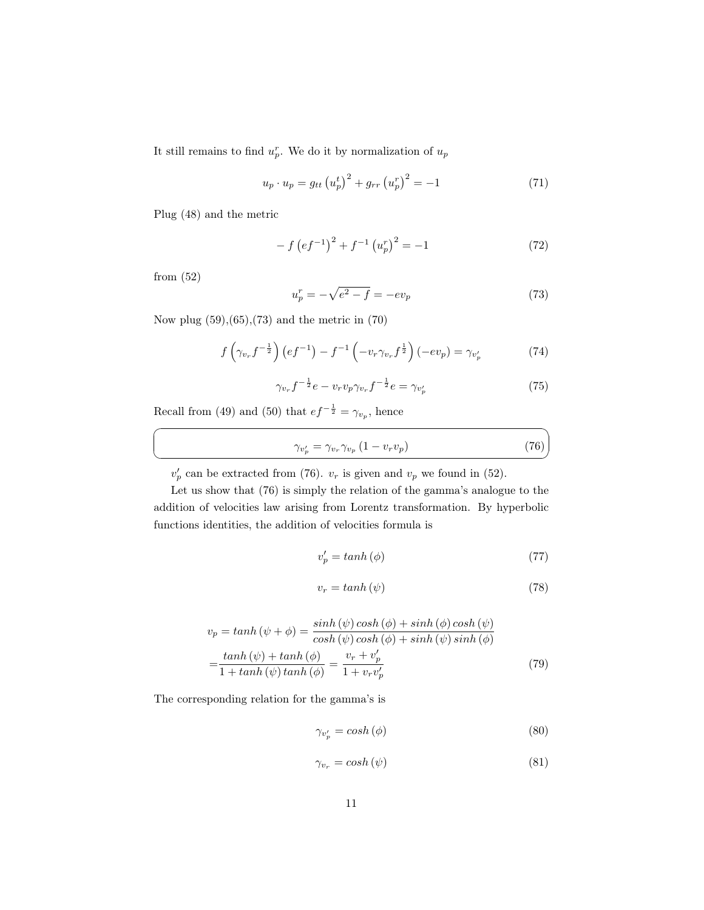It still remains to find  $u_p^r$ . We do it by normalization of  $u_p$ 

$$
u_p \cdot u_p = g_{tt} (u_p^t)^2 + g_{rr} (u_p^r)^2 = -1
$$
 (71)

Plug [\(48\)](#page-7-4) and the metric

$$
- f \left( e f^{-1} \right)^2 + f^{-1} \left( u_p^r \right)^2 = -1 \tag{72}
$$

from [\(52\)](#page-8-5)

☛

 $\searrow$ 

<span id="page-10-0"></span>
$$
u_p^r = -\sqrt{e^2 - f} = -ev_p \tag{73}
$$

Now plug [\(59\)](#page-8-4),[\(65\)](#page-9-0),[\(73\)](#page-10-0) and the metric in [\(70\)](#page-9-2)

$$
f\left(\gamma_{v_r}f^{-\frac{1}{2}}\right)\left(ef^{-1}\right) - f^{-1}\left(-v_r\gamma_{v_r}f^{\frac{1}{2}}\right)\left(-ev_p\right) = \gamma_{v'_p} \tag{74}
$$

$$
\gamma_{v_r} f^{-\frac{1}{2}} e - v_r v_p \gamma_{v_r} f^{-\frac{1}{2}} e = \gamma_{v'_p} \tag{75}
$$

Recall from [\(49\)](#page-7-5) and [\(50\)](#page-7-6) that  $ef^{-\frac{1}{2}} = \gamma_{v_p}$ , hence

<span id="page-10-1"></span>
$$
\gamma_{v_p'} = \gamma_{v_r} \gamma_{v_p} \left( 1 - v_r v_p \right) \tag{76}
$$

 $v_p'$  can be extracted from [\(76\)](#page-10-1).  $v_r$  is given and  $v_p$  we found in [\(52\)](#page-8-5).

Let us show that [\(76\)](#page-10-1) is simply the relation of the gamma's analogue to the addition of velocities law arising from Lorentz transformation. By hyperbolic functions identities, the addition of velocities formula is

$$
v_p' = \tanh(\phi) \tag{77}
$$

$$
v_r = \tanh\left(\psi\right) \tag{78}
$$

$$
v_p = \tanh(\psi + \phi) = \frac{\sinh(\psi)\cosh(\phi) + \sinh(\phi)\cosh(\psi)}{\cosh(\psi)\cosh(\phi) + \sinh(\psi)\sinh(\phi)}
$$

$$
= \frac{\tanh(\psi) + \tanh(\phi)}{1 + \tanh(\psi)\tanh(\phi)} = \frac{v_r + v'_p}{1 + v_r v'_p}
$$
(79)

The corresponding relation for the gamma's is

$$
\gamma_{v_p'} = \cosh(\phi) \tag{80}
$$

$$
\gamma_{v_r} = \cosh(\psi) \tag{81}
$$